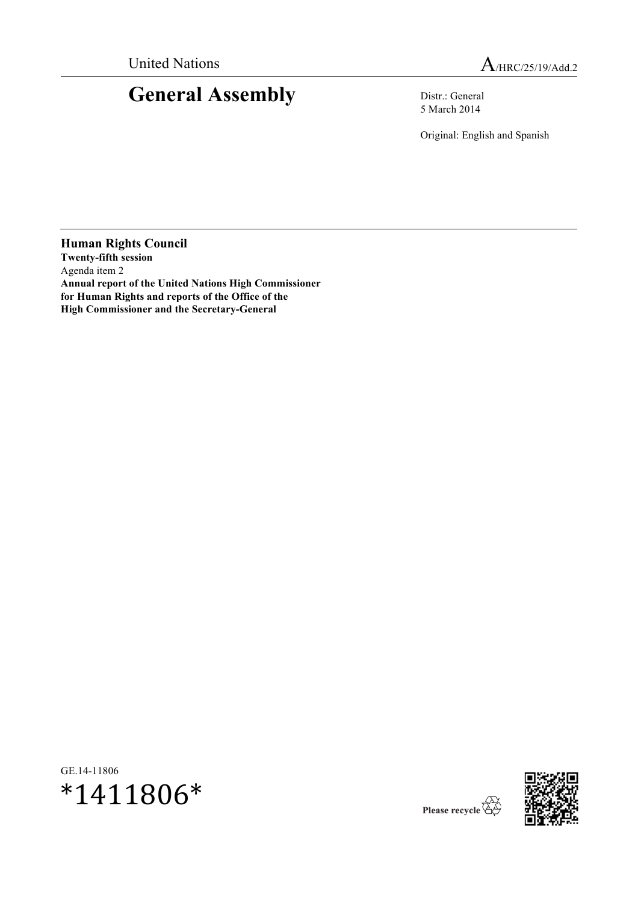# **General Assembly** Distr.: General

5 March 2014

Original: English and Spanish

**Human Rights Council Twenty-fifth session** Agenda item 2 **Annual report of the United Nations High Commissioner for Human Rights and reports of the Office of the High Commissioner and the Secretary-General**

GE.14-11806





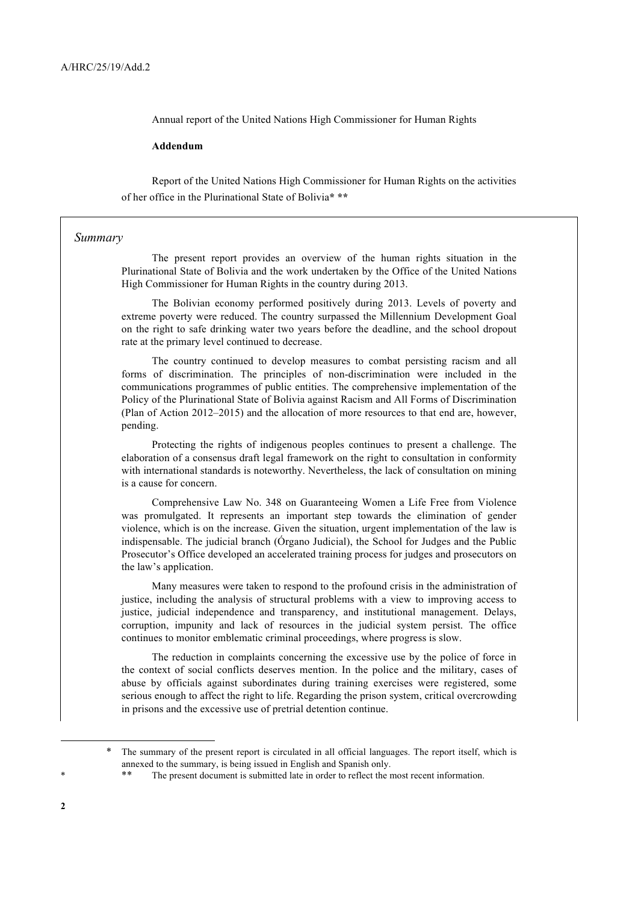Annual report of the United Nations High Commissioner for Human Rights

#### **Addendum**

Report of the United Nations High Commissioner for Human Rights on the activities of her office in the Plurinational State of Bolivia**\* \*\***

#### *Summary*

The present report provides an overview of the human rights situation in the Plurinational State of Bolivia and the work undertaken by the Office of the United Nations High Commissioner for Human Rights in the country during 2013.

The Bolivian economy performed positively during 2013. Levels of poverty and extreme poverty were reduced. The country surpassed the Millennium Development Goal on the right to safe drinking water two years before the deadline, and the school dropout rate at the primary level continued to decrease.

The country continued to develop measures to combat persisting racism and all forms of discrimination. The principles of non-discrimination were included in the communications programmes of public entities. The comprehensive implementation of the Policy of the Plurinational State of Bolivia against Racism and All Forms of Discrimination (Plan of Action 2012–2015) and the allocation of more resources to that end are, however, pending.

Protecting the rights of indigenous peoples continues to present a challenge. The elaboration of a consensus draft legal framework on the right to consultation in conformity with international standards is noteworthy. Nevertheless, the lack of consultation on mining is a cause for concern.

Comprehensive Law No. 348 on Guaranteeing Women a Life Free from Violence was promulgated. It represents an important step towards the elimination of gender violence, which is on the increase. Given the situation, urgent implementation of the law is indispensable. The judicial branch (Órgano Judicial), the School for Judges and the Public Prosecutor's Office developed an accelerated training process for judges and prosecutors on the law's application.

Many measures were taken to respond to the profound crisis in the administration of justice, including the analysis of structural problems with a view to improving access to justice, judicial independence and transparency, and institutional management. Delays, corruption, impunity and lack of resources in the judicial system persist. The office continues to monitor emblematic criminal proceedings, where progress is slow.

The reduction in complaints concerning the excessive use by the police of force in the context of social conflicts deserves mention. In the police and the military, cases of abuse by officials against subordinates during training exercises were registered, some serious enough to affect the right to life. Regarding the prison system, critical overcrowding in prisons and the excessive use of pretrial detention continue.

<sup>\*</sup> The summary of the present report is circulated in all official languages. The report itself, which is annexed to the summary, is being issued in English and Spanish only.

<sup>\*\*</sup> The present document is submitted late in order to reflect the most recent information.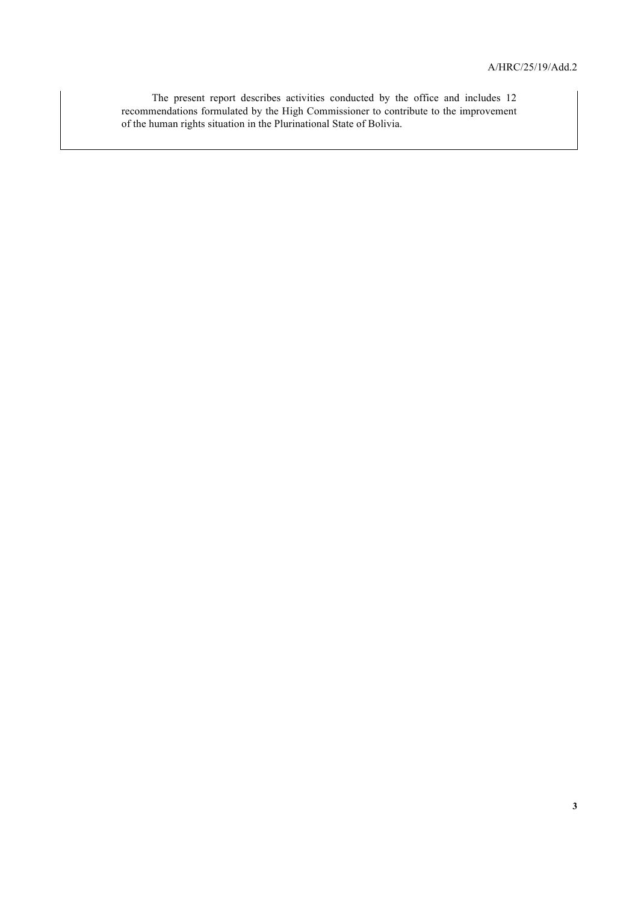The present report describes activities conducted by the office and includes 12 recommendations formulated by the High Commissioner to contribute to the improvement of the human rights situation in the Plurinational State of Bolivia.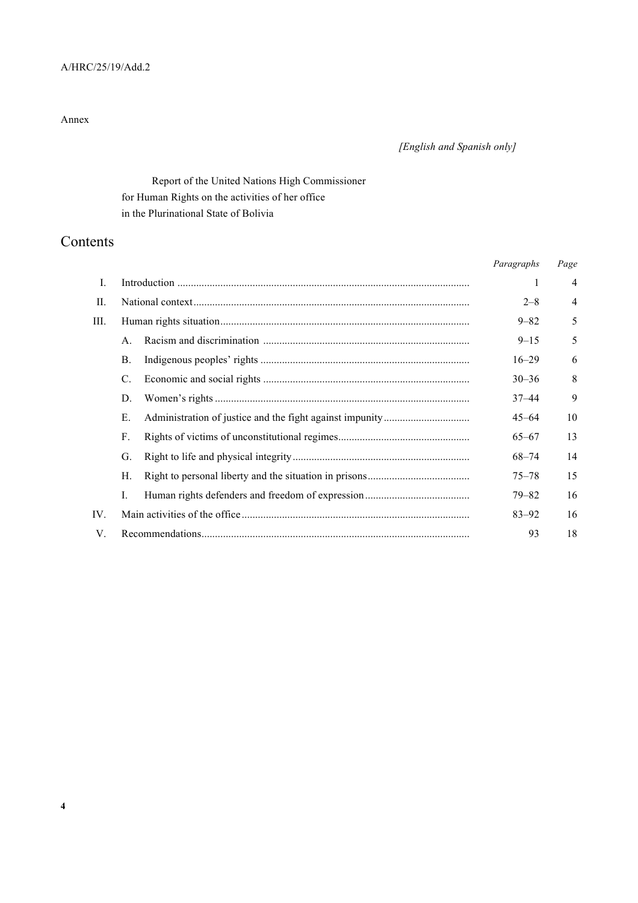### A/HRC/25/19/Add.2

#### Annex

## *[English and Spanish only]*

# Report of the United Nations High Commissioner for Human Rights on the activities of her office in the Plurinational State of Bolivia

# Contents

|     |                |  | Paragraphs | Page           |
|-----|----------------|--|------------|----------------|
| L   |                |  | 1          | $\overline{4}$ |
| П.  |                |  | $2 - 8$    | $\overline{4}$ |
| Ш.  |                |  | $9 - 82$   | 5              |
|     | $\mathsf{A}$   |  | $9 - 15$   | 5              |
|     | <b>B.</b>      |  | $16 - 29$  | 6              |
|     | C.             |  | $30 - 36$  | 8              |
|     | D.             |  | $37 - 44$  | 9              |
|     | Е.             |  | $45 - 64$  | 10             |
|     | F.             |  | $65 - 67$  | 13             |
|     | G.             |  | $68 - 74$  | 14             |
|     | Н.             |  | $75 - 78$  | 15             |
|     | $\mathbf{I}$ . |  | 79–82      | 16             |
| IV. |                |  | $83 - 92$  | 16             |
| V.  |                |  | 93         | 18             |
|     |                |  |            |                |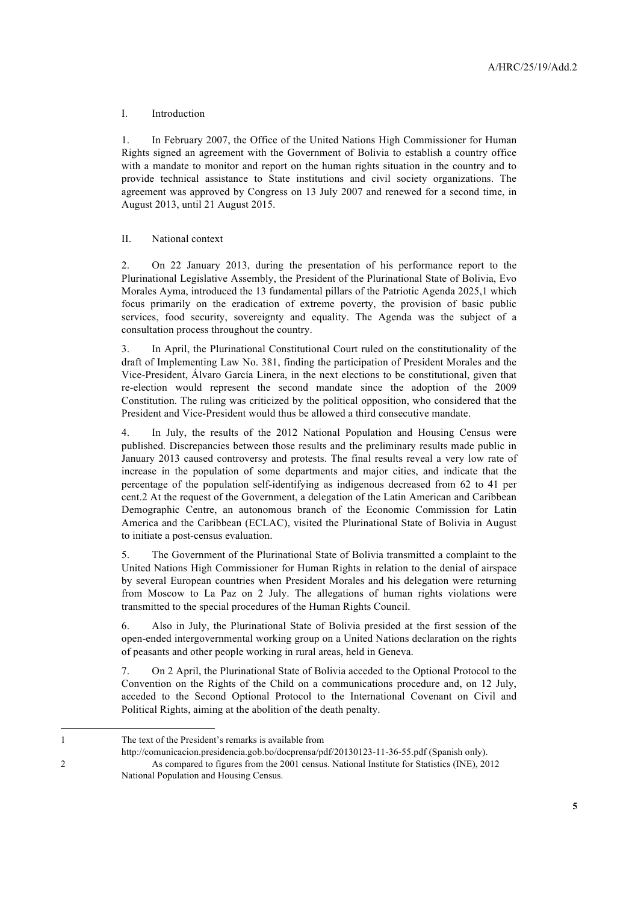#### I. Introduction

1. In February 2007, the Office of the United Nations High Commissioner for Human Rights signed an agreement with the Government of Bolivia to establish a country office with a mandate to monitor and report on the human rights situation in the country and to provide technical assistance to State institutions and civil society organizations. The agreement was approved by Congress on 13 July 2007 and renewed for a second time, in August 2013, until 21 August 2015.

#### II. National context

2. On 22 January 2013, during the presentation of his performance report to the Plurinational Legislative Assembly, the President of the Plurinational State of Bolivia, Evo Morales Ayma, introduced the 13 fundamental pillars of the Patriotic Agenda 2025,1 which focus primarily on the eradication of extreme poverty, the provision of basic public services, food security, sovereignty and equality. The Agenda was the subject of a consultation process throughout the country.

3. In April, the Plurinational Constitutional Court ruled on the constitutionality of the draft of Implementing Law No. 381, finding the participation of President Morales and the Vice-President, Álvaro García Linera, in the next elections to be constitutional, given that re-election would represent the second mandate since the adoption of the 2009 Constitution. The ruling was criticized by the political opposition, who considered that the President and Vice-President would thus be allowed a third consecutive mandate.

4. In July, the results of the 2012 National Population and Housing Census were published. Discrepancies between those results and the preliminary results made public in January 2013 caused controversy and protests. The final results reveal a very low rate of increase in the population of some departments and major cities, and indicate that the percentage of the population self-identifying as indigenous decreased from 62 to 41 per cent.2 At the request of the Government, a delegation of the Latin American and Caribbean Demographic Centre, an autonomous branch of the Economic Commission for Latin America and the Caribbean (ECLAC), visited the Plurinational State of Bolivia in August to initiate a post-census evaluation.

5. The Government of the Plurinational State of Bolivia transmitted a complaint to the United Nations High Commissioner for Human Rights in relation to the denial of airspace by several European countries when President Morales and his delegation were returning from Moscow to La Paz on 2 July. The allegations of human rights violations were transmitted to the special procedures of the Human Rights Council.

6. Also in July, the Plurinational State of Bolivia presided at the first session of the open-ended intergovernmental working group on a United Nations declaration on the rights of peasants and other people working in rural areas, held in Geneva.

7. On 2 April, the Plurinational State of Bolivia acceded to the Optional Protocol to the Convention on the Rights of the Child on a communications procedure and, on 12 July, acceded to the Second Optional Protocol to the International Covenant on Civil and Political Rights, aiming at the abolition of the death penalty.

<sup>1</sup> The text of the President's remarks is available from

http://comunicacion.presidencia.gob.bo/docprensa/pdf/20130123-11-36-55.pdf (Spanish only). 2 As compared to figures from the 2001 census. National Institute for Statistics (INE), 2012 National Population and Housing Census.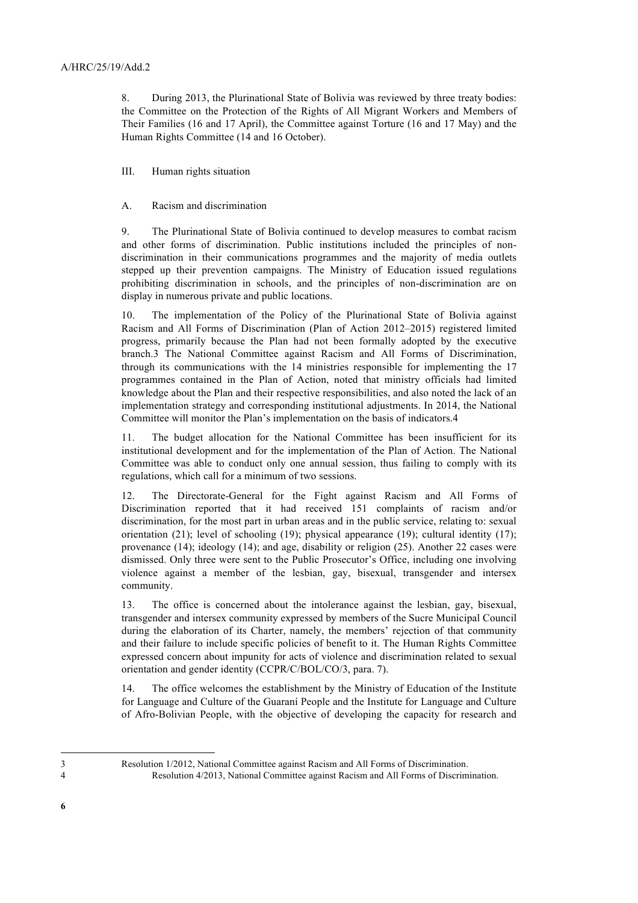8. During 2013, the Plurinational State of Bolivia was reviewed by three treaty bodies: the Committee on the Protection of the Rights of All Migrant Workers and Members of Their Families (16 and 17 April), the Committee against Torture (16 and 17 May) and the Human Rights Committee (14 and 16 October).

III. Human rights situation

#### A. Racism and discrimination

9. The Plurinational State of Bolivia continued to develop measures to combat racism and other forms of discrimination. Public institutions included the principles of nondiscrimination in their communications programmes and the majority of media outlets stepped up their prevention campaigns. The Ministry of Education issued regulations prohibiting discrimination in schools, and the principles of non-discrimination are on display in numerous private and public locations.

10. The implementation of the Policy of the Plurinational State of Bolivia against Racism and All Forms of Discrimination (Plan of Action 2012–2015) registered limited progress, primarily because the Plan had not been formally adopted by the executive branch.3 The National Committee against Racism and All Forms of Discrimination, through its communications with the 14 ministries responsible for implementing the 17 programmes contained in the Plan of Action, noted that ministry officials had limited knowledge about the Plan and their respective responsibilities, and also noted the lack of an implementation strategy and corresponding institutional adjustments. In 2014, the National Committee will monitor the Plan's implementation on the basis of indicators.4

11. The budget allocation for the National Committee has been insufficient for its institutional development and for the implementation of the Plan of Action. The National Committee was able to conduct only one annual session, thus failing to comply with its regulations, which call for a minimum of two sessions.

12. The Directorate-General for the Fight against Racism and All Forms of Discrimination reported that it had received 151 complaints of racism and/or discrimination, for the most part in urban areas and in the public service, relating to: sexual orientation (21); level of schooling (19); physical appearance (19); cultural identity (17); provenance (14); ideology (14); and age, disability or religion (25). Another 22 cases were dismissed. Only three were sent to the Public Prosecutor's Office, including one involving violence against a member of the lesbian, gay, bisexual, transgender and intersex community.

13. The office is concerned about the intolerance against the lesbian, gay, bisexual, transgender and intersex community expressed by members of the Sucre Municipal Council during the elaboration of its Charter, namely, the members' rejection of that community and their failure to include specific policies of benefit to it. The Human Rights Committee expressed concern about impunity for acts of violence and discrimination related to sexual orientation and gender identity (CCPR/C/BOL/CO/3, para. 7).

14. The office welcomes the establishment by the Ministry of Education of the Institute for Language and Culture of the Guaraní People and the Institute for Language and Culture of Afro-Bolivian People, with the objective of developing the capacity for research and

3 Resolution 1/2012, National Committee against Racism and All Forms of Discrimination.

 $\overline{a}$ 

**6**

<sup>4</sup> Resolution 4/2013, National Committee against Racism and All Forms of Discrimination.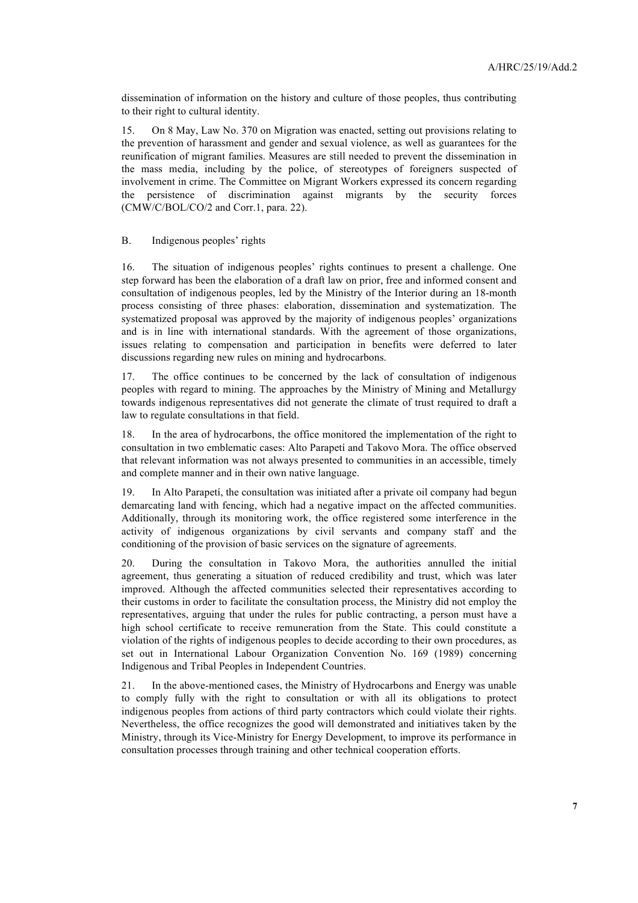dissemination of information on the history and culture of those peoples, thus contributing to their right to cultural identity.

15. On 8 May, Law No. 370 on Migration was enacted, setting out provisions relating to the prevention of harassment and gender and sexual violence, as well as guarantees for the reunification of migrant families. Measures are still needed to prevent the dissemination in the mass media, including by the police, of stereotypes of foreigners suspected of involvement in crime. The Committee on Migrant Workers expressed its concern regarding the persistence of discrimination against migrants by the security forces (CMW/C/BOL/CO/2 and Corr.1, para. 22).

#### B. Indigenous peoples' rights

16. The situation of indigenous peoples' rights continues to present a challenge. One step forward has been the elaboration of a draft law on prior, free and informed consent and consultation of indigenous peoples, led by the Ministry of the Interior during an 18-month process consisting of three phases: elaboration, dissemination and systematization. The systematized proposal was approved by the majority of indigenous peoples' organizations and is in line with international standards. With the agreement of those organizations, issues relating to compensation and participation in benefits were deferred to later discussions regarding new rules on mining and hydrocarbons.

17. The office continues to be concerned by the lack of consultation of indigenous peoples with regard to mining. The approaches by the Ministry of Mining and Metallurgy towards indigenous representatives did not generate the climate of trust required to draft a law to regulate consultations in that field.

18. In the area of hydrocarbons, the office monitored the implementation of the right to consultation in two emblematic cases: Alto Parapetí and Takovo Mora. The office observed that relevant information was not always presented to communities in an accessible, timely and complete manner and in their own native language.

19. In Alto Parapetí, the consultation was initiated after a private oil company had begun demarcating land with fencing, which had a negative impact on the affected communities. Additionally, through its monitoring work, the office registered some interference in the activity of indigenous organizations by civil servants and company staff and the conditioning of the provision of basic services on the signature of agreements.

20. During the consultation in Takovo Mora, the authorities annulled the initial agreement, thus generating a situation of reduced credibility and trust, which was later improved. Although the affected communities selected their representatives according to their customs in order to facilitate the consultation process, the Ministry did not employ the representatives, arguing that under the rules for public contracting, a person must have a high school certificate to receive remuneration from the State. This could constitute a violation of the rights of indigenous peoples to decide according to their own procedures, as set out in International Labour Organization Convention No. 169 (1989) concerning Indigenous and Tribal Peoples in Independent Countries.

21. In the above-mentioned cases, the Ministry of Hydrocarbons and Energy was unable to comply fully with the right to consultation or with all its obligations to protect indigenous peoples from actions of third party contractors which could violate their rights. Nevertheless, the office recognizes the good will demonstrated and initiatives taken by the Ministry, through its Vice-Ministry for Energy Development, to improve its performance in consultation processes through training and other technical cooperation efforts.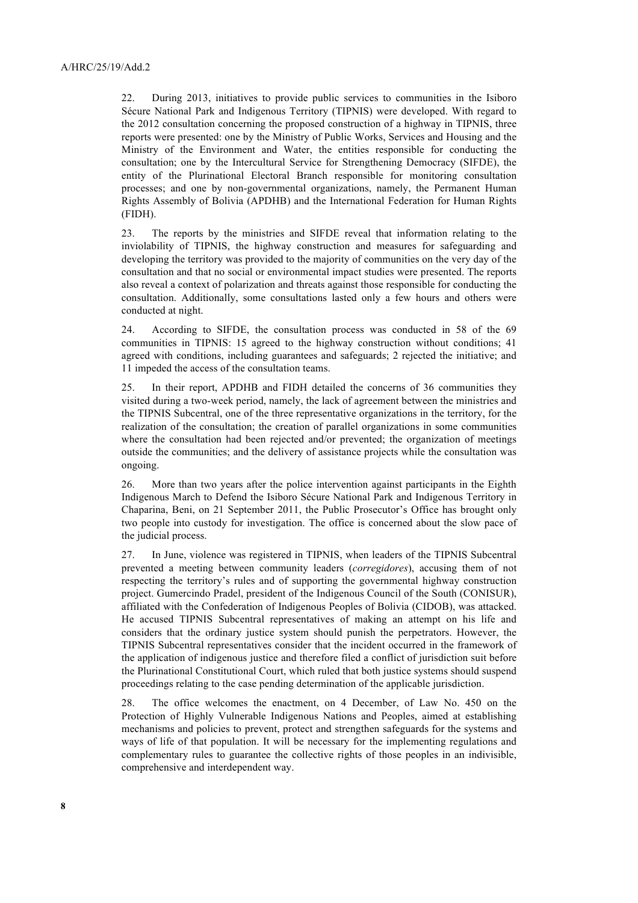22. During 2013, initiatives to provide public services to communities in the Isiboro Sécure National Park and Indigenous Territory (TIPNIS) were developed. With regard to the 2012 consultation concerning the proposed construction of a highway in TIPNIS, three reports were presented: one by the Ministry of Public Works, Services and Housing and the Ministry of the Environment and Water, the entities responsible for conducting the consultation; one by the Intercultural Service for Strengthening Democracy (SIFDE), the entity of the Plurinational Electoral Branch responsible for monitoring consultation processes; and one by non-governmental organizations, namely, the Permanent Human Rights Assembly of Bolivia (APDHB) and the International Federation for Human Rights (FIDH).

23. The reports by the ministries and SIFDE reveal that information relating to the inviolability of TIPNIS, the highway construction and measures for safeguarding and developing the territory was provided to the majority of communities on the very day of the consultation and that no social or environmental impact studies were presented. The reports also reveal a context of polarization and threats against those responsible for conducting the consultation. Additionally, some consultations lasted only a few hours and others were conducted at night.

24. According to SIFDE, the consultation process was conducted in 58 of the 69 communities in TIPNIS: 15 agreed to the highway construction without conditions; 41 agreed with conditions, including guarantees and safeguards; 2 rejected the initiative; and 11 impeded the access of the consultation teams.

25. In their report, APDHB and FIDH detailed the concerns of 36 communities they visited during a two-week period, namely, the lack of agreement between the ministries and the TIPNIS Subcentral, one of the three representative organizations in the territory, for the realization of the consultation; the creation of parallel organizations in some communities where the consultation had been rejected and/or prevented; the organization of meetings outside the communities; and the delivery of assistance projects while the consultation was ongoing.

26. More than two years after the police intervention against participants in the Eighth Indigenous March to Defend the Isiboro Sécure National Park and Indigenous Territory in Chaparina, Beni, on 21 September 2011, the Public Prosecutor's Office has brought only two people into custody for investigation. The office is concerned about the slow pace of the judicial process.

27. In June, violence was registered in TIPNIS, when leaders of the TIPNIS Subcentral prevented a meeting between community leaders (*corregidores*), accusing them of not respecting the territory's rules and of supporting the governmental highway construction project. Gumercindo Pradel, president of the Indigenous Council of the South (CONISUR), affiliated with the Confederation of Indigenous Peoples of Bolivia (CIDOB), was attacked. He accused TIPNIS Subcentral representatives of making an attempt on his life and considers that the ordinary justice system should punish the perpetrators. However, the TIPNIS Subcentral representatives consider that the incident occurred in the framework of the application of indigenous justice and therefore filed a conflict of jurisdiction suit before the Plurinational Constitutional Court, which ruled that both justice systems should suspend proceedings relating to the case pending determination of the applicable jurisdiction.

28. The office welcomes the enactment, on 4 December, of Law No. 450 on the Protection of Highly Vulnerable Indigenous Nations and Peoples, aimed at establishing mechanisms and policies to prevent, protect and strengthen safeguards for the systems and ways of life of that population. It will be necessary for the implementing regulations and complementary rules to guarantee the collective rights of those peoples in an indivisible, comprehensive and interdependent way.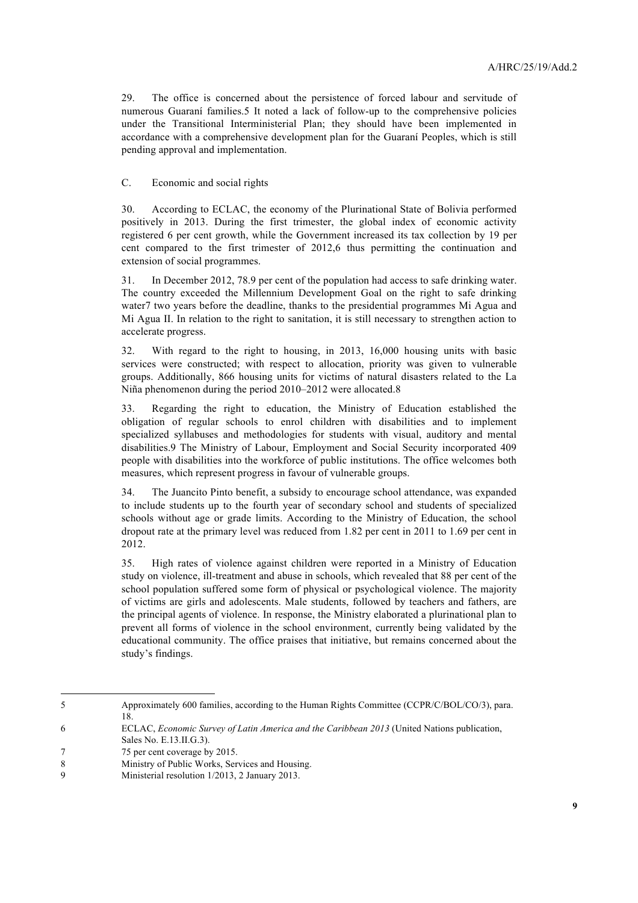29. The office is concerned about the persistence of forced labour and servitude of numerous Guaraní families.5 It noted a lack of follow-up to the comprehensive policies under the Transitional Interministerial Plan; they should have been implemented in accordance with a comprehensive development plan for the Guaraní Peoples, which is still pending approval and implementation.

C. Economic and social rights

30. According to ECLAC, the economy of the Plurinational State of Bolivia performed positively in 2013. During the first trimester, the global index of economic activity registered 6 per cent growth, while the Government increased its tax collection by 19 per cent compared to the first trimester of 2012,6 thus permitting the continuation and extension of social programmes.

31. In December 2012, 78.9 per cent of the population had access to safe drinking water. The country exceeded the Millennium Development Goal on the right to safe drinking water7 two years before the deadline, thanks to the presidential programmes Mi Agua and Mi Agua II. In relation to the right to sanitation, it is still necessary to strengthen action to accelerate progress.

32. With regard to the right to housing, in 2013, 16,000 housing units with basic services were constructed; with respect to allocation, priority was given to vulnerable groups. Additionally, 866 housing units for victims of natural disasters related to the La Niña phenomenon during the period 2010–2012 were allocated.8

33. Regarding the right to education, the Ministry of Education established the obligation of regular schools to enrol children with disabilities and to implement specialized syllabuses and methodologies for students with visual, auditory and mental disabilities.9 The Ministry of Labour, Employment and Social Security incorporated 409 people with disabilities into the workforce of public institutions. The office welcomes both measures, which represent progress in favour of vulnerable groups.

34. The Juancito Pinto benefit, a subsidy to encourage school attendance, was expanded to include students up to the fourth year of secondary school and students of specialized schools without age or grade limits. According to the Ministry of Education, the school dropout rate at the primary level was reduced from 1.82 per cent in 2011 to 1.69 per cent in 2012.

35. High rates of violence against children were reported in a Ministry of Education study on violence, ill-treatment and abuse in schools, which revealed that 88 per cent of the school population suffered some form of physical or psychological violence. The majority of victims are girls and adolescents. Male students, followed by teachers and fathers, are the principal agents of violence. In response, the Ministry elaborated a plurinational plan to prevent all forms of violence in the school environment, currently being validated by the educational community. The office praises that initiative, but remains concerned about the study's findings.

<sup>5</sup> Approximately 600 families, according to the Human Rights Committee (CCPR/C/BOL/CO/3), para. 18.

<sup>6</sup> ECLAC, *Economic Survey of Latin America and the Caribbean 2013* (United Nations publication,

Sales No. E.13.II.G.3).

<sup>7 75</sup> per cent coverage by 2015.

<sup>8</sup> **Ministry of Public Works, Services and Housing.** 

<sup>9</sup> Ministerial resolution 1/2013, 2 January 2013.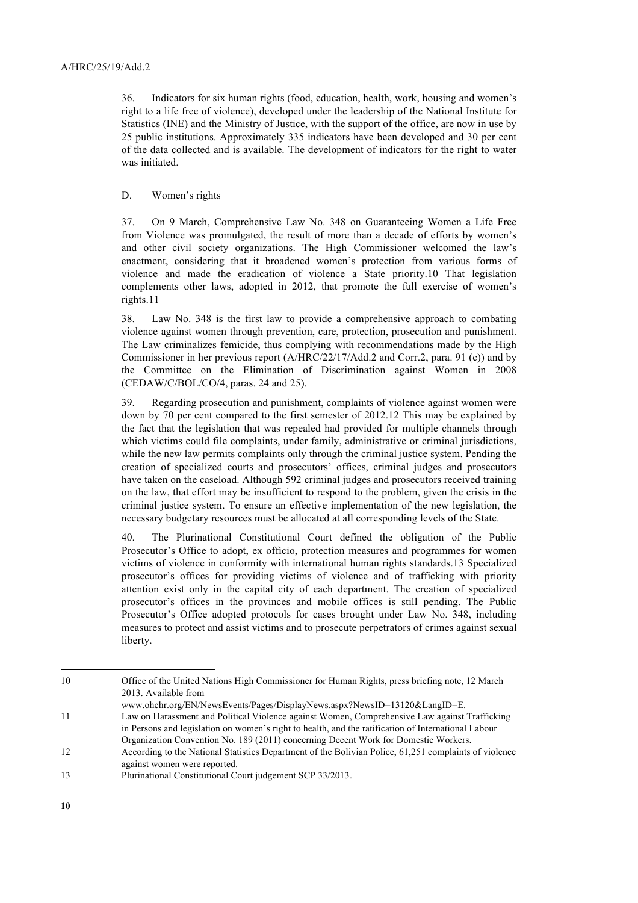36. Indicators for six human rights (food, education, health, work, housing and women's right to a life free of violence), developed under the leadership of the National Institute for Statistics (INE) and the Ministry of Justice, with the support of the office, are now in use by 25 public institutions. Approximately 335 indicators have been developed and 30 per cent of the data collected and is available. The development of indicators for the right to water was initiated.

#### D. Women's rights

37. On 9 March, Comprehensive Law No. 348 on Guaranteeing Women a Life Free from Violence was promulgated, the result of more than a decade of efforts by women's and other civil society organizations. The High Commissioner welcomed the law's enactment, considering that it broadened women's protection from various forms of violence and made the eradication of violence a State priority.10 That legislation complements other laws, adopted in 2012, that promote the full exercise of women's rights.11

38. Law No. 348 is the first law to provide a comprehensive approach to combating violence against women through prevention, care, protection, prosecution and punishment. The Law criminalizes femicide, thus complying with recommendations made by the High Commissioner in her previous report (A/HRC/22/17/Add.2 and Corr.2, para. 91 (c)) and by the Committee on the Elimination of Discrimination against Women in 2008 (CEDAW/C/BOL/CO/4, paras. 24 and 25).

39. Regarding prosecution and punishment, complaints of violence against women were down by 70 per cent compared to the first semester of 2012.12 This may be explained by the fact that the legislation that was repealed had provided for multiple channels through which victims could file complaints, under family, administrative or criminal jurisdictions, while the new law permits complaints only through the criminal justice system. Pending the creation of specialized courts and prosecutors' offices, criminal judges and prosecutors have taken on the caseload. Although 592 criminal judges and prosecutors received training on the law, that effort may be insufficient to respond to the problem, given the crisis in the criminal justice system. To ensure an effective implementation of the new legislation, the necessary budgetary resources must be allocated at all corresponding levels of the State.

40. The Plurinational Constitutional Court defined the obligation of the Public Prosecutor's Office to adopt, ex officio, protection measures and programmes for women victims of violence in conformity with international human rights standards.13 Specialized prosecutor's offices for providing victims of violence and of trafficking with priority attention exist only in the capital city of each department. The creation of specialized prosecutor's offices in the provinces and mobile offices is still pending. The Public Prosecutor's Office adopted protocols for cases brought under Law No. 348, including measures to protect and assist victims and to prosecute perpetrators of crimes against sexual liberty.

www.ohchr.org/EN/NewsEvents/Pages/DisplayNews.aspx?NewsID=13120&LangID=E.

<sup>10</sup> Office of the United Nations High Commissioner for Human Rights, press briefing note, 12 March 2013. Available from

<sup>11</sup> Law on Harassment and Political Violence against Women, Comprehensive Law against Trafficking in Persons and legislation on women's right to health, and the ratification of International Labour Organization Convention No. 189 (2011) concerning Decent Work for Domestic Workers.

<sup>12</sup> According to the National Statistics Department of the Bolivian Police, 61,251 complaints of violence against women were reported.

<sup>13</sup> Plurinational Constitutional Court judgement SCP 33/2013.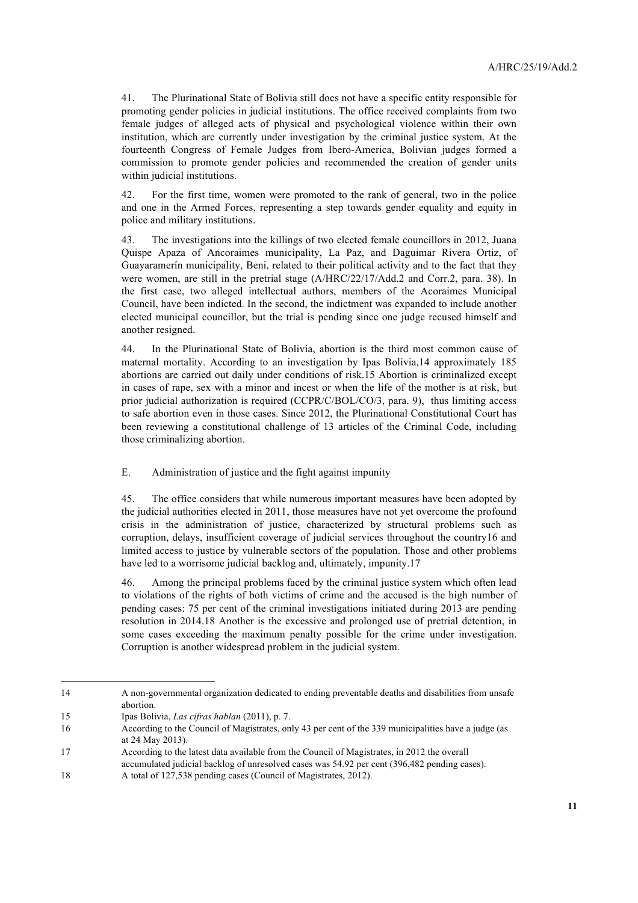41. The Plurinational State of Bolivia still does not have a specific entity responsible for promoting gender policies in judicial institutions. The office received complaints from two female judges of alleged acts of physical and psychological violence within their own institution, which are currently under investigation by the criminal justice system. At the fourteenth Congress of Female Judges from Ibero-America, Bolivian judges formed a commission to promote gender policies and recommended the creation of gender units within judicial institutions.

42. For the first time, women were promoted to the rank of general, two in the police and one in the Armed Forces, representing a step towards gender equality and equity in police and military institutions.

43. The investigations into the killings of two elected female councillors in 2012, Juana Quispe Apaza of Ancoraimes municipality, La Paz, and Daguimar Rivera Ortiz, of Guayaramerín municipality, Beni, related to their political activity and to the fact that they were women, are still in the pretrial stage (A/HRC/22/17/Add.2 and Corr.2, para. 38). In the first case, two alleged intellectual authors, members of the Acoraimes Municipal Council, have been indicted. In the second, the indictment was expanded to include another elected municipal councillor, but the trial is pending since one judge recused himself and another resigned.

44. In the Plurinational State of Bolivia, abortion is the third most common cause of maternal mortality. According to an investigation by Ipas Bolivia,14 approximately 185 abortions are carried out daily under conditions of risk.15 Abortion is criminalized except in cases of rape, sex with a minor and incest or when the life of the mother is at risk, but prior judicial authorization is required (CCPR/C/BOL/CO/3, para. 9), thus limiting access to safe abortion even in those cases. Since 2012, the Plurinational Constitutional Court has been reviewing a constitutional challenge of 13 articles of the Criminal Code, including those criminalizing abortion.

E. Administration of justice and the fight against impunity

45. The office considers that while numerous important measures have been adopted by the judicial authorities elected in 2011, those measures have not yet overcome the profound crisis in the administration of justice, characterized by structural problems such as corruption, delays, insufficient coverage of judicial services throughout the country16 and limited access to justice by vulnerable sectors of the population. Those and other problems have led to a worrisome judicial backlog and, ultimately, impunity.17

46. Among the principal problems faced by the criminal justice system which often lead to violations of the rights of both victims of crime and the accused is the high number of pending cases: 75 per cent of the criminal investigations initiated during 2013 are pending resolution in 2014.18 Another is the excessive and prolonged use of pretrial detention, in some cases exceeding the maximum penalty possible for the crime under investigation. Corruption is another widespread problem in the judicial system.

<sup>14</sup> A non-governmental organization dedicated to ending preventable deaths and disabilities from unsafe abortion.

<sup>15</sup> Ipas Bolivia, *Las cifras hablan* (2011), p. 7.

<sup>16</sup> According to the Council of Magistrates, only 43 per cent of the 339 municipalities have a judge (as at 24 May 2013).

<sup>17</sup> According to the latest data available from the Council of Magistrates, in 2012 the overall accumulated judicial backlog of unresolved cases was 54.92 per cent (396,482 pending cases).

<sup>18</sup> A total of 127,538 pending cases (Council of Magistrates, 2012).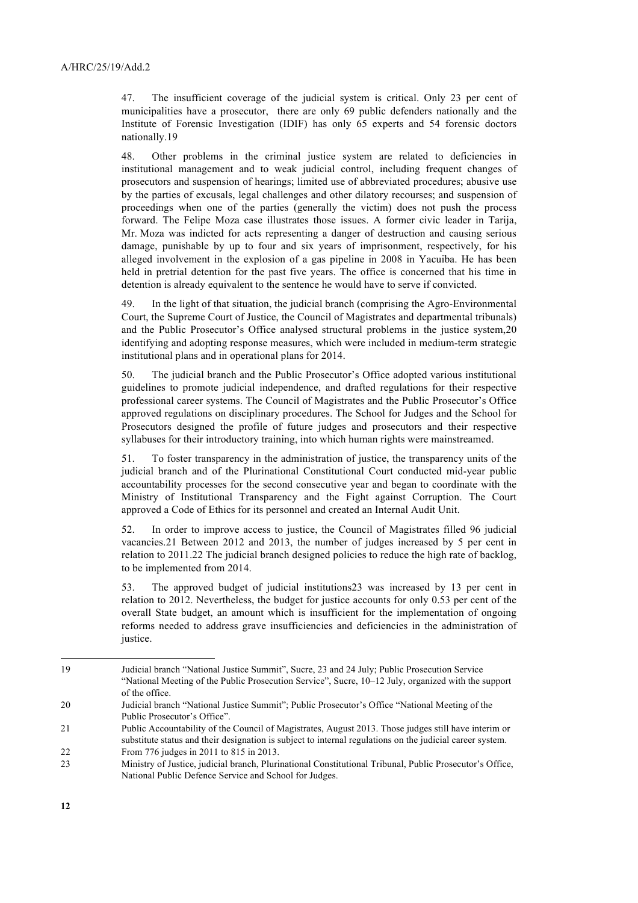47. The insufficient coverage of the judicial system is critical. Only 23 per cent of municipalities have a prosecutor, there are only 69 public defenders nationally and the Institute of Forensic Investigation (IDIF) has only 65 experts and 54 forensic doctors nationally.19

48. Other problems in the criminal justice system are related to deficiencies in institutional management and to weak judicial control, including frequent changes of prosecutors and suspension of hearings; limited use of abbreviated procedures; abusive use by the parties of excusals, legal challenges and other dilatory recourses; and suspension of proceedings when one of the parties (generally the victim) does not push the process forward. The Felipe Moza case illustrates those issues. A former civic leader in Tarija, Mr. Moza was indicted for acts representing a danger of destruction and causing serious damage, punishable by up to four and six years of imprisonment, respectively, for his alleged involvement in the explosion of a gas pipeline in 2008 in Yacuiba. He has been held in pretrial detention for the past five years. The office is concerned that his time in detention is already equivalent to the sentence he would have to serve if convicted.

49. In the light of that situation, the judicial branch (comprising the Agro-Environmental Court, the Supreme Court of Justice, the Council of Magistrates and departmental tribunals) and the Public Prosecutor's Office analysed structural problems in the justice system,20 identifying and adopting response measures, which were included in medium-term strategic institutional plans and in operational plans for 2014.

50. The judicial branch and the Public Prosecutor's Office adopted various institutional guidelines to promote judicial independence, and drafted regulations for their respective professional career systems. The Council of Magistrates and the Public Prosecutor's Office approved regulations on disciplinary procedures. The School for Judges and the School for Prosecutors designed the profile of future judges and prosecutors and their respective syllabuses for their introductory training, into which human rights were mainstreamed.

51. To foster transparency in the administration of justice, the transparency units of the judicial branch and of the Plurinational Constitutional Court conducted mid-year public accountability processes for the second consecutive year and began to coordinate with the Ministry of Institutional Transparency and the Fight against Corruption. The Court approved a Code of Ethics for its personnel and created an Internal Audit Unit.

52. In order to improve access to justice, the Council of Magistrates filled 96 judicial vacancies.21 Between 2012 and 2013, the number of judges increased by 5 per cent in relation to 2011.22 The judicial branch designed policies to reduce the high rate of backlog, to be implemented from 2014.

53. The approved budget of judicial institutions23 was increased by 13 per cent in relation to 2012. Nevertheless, the budget for justice accounts for only 0.53 per cent of the overall State budget, an amount which is insufficient for the implementation of ongoing reforms needed to address grave insufficiencies and deficiencies in the administration of justice.

<sup>19</sup> Judicial branch "National Justice Summit", Sucre, 23 and 24 July; Public Prosecution Service "National Meeting of the Public Prosecution Service", Sucre, 10–12 July, organized with the support of the office.

<sup>20</sup> Judicial branch "National Justice Summit"; Public Prosecutor's Office "National Meeting of the Public Prosecutor's Office".

<sup>21</sup> Public Accountability of the Council of Magistrates, August 2013. Those judges still have interim or substitute status and their designation is subject to internal regulations on the judicial career system. 22 From 776 judges in 2011 to 815 in 2013.

<sup>23</sup> Ministry of Justice, judicial branch, Plurinational Constitutional Tribunal, Public Prosecutor's Office, National Public Defence Service and School for Judges.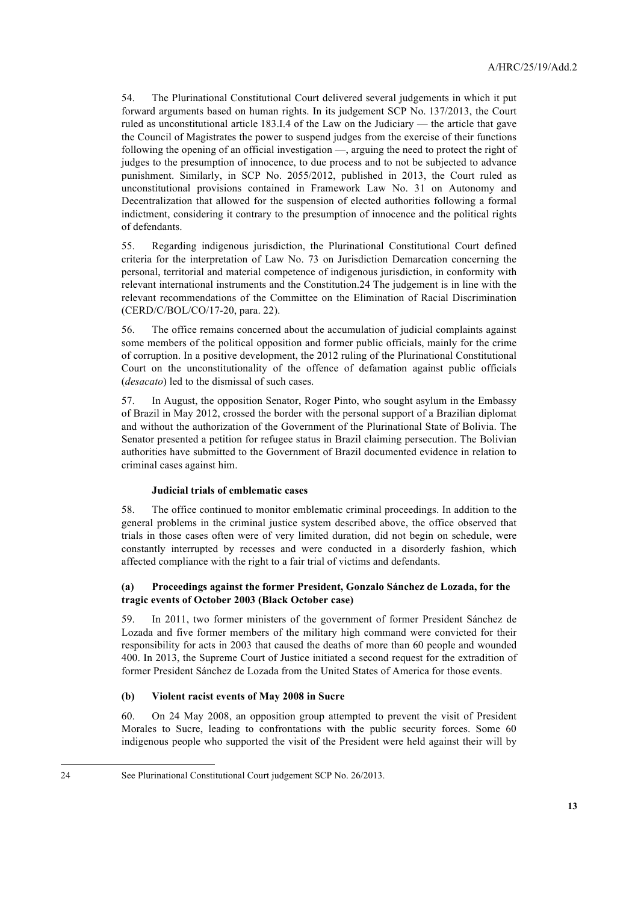54. The Plurinational Constitutional Court delivered several judgements in which it put forward arguments based on human rights. In its judgement SCP No. 137/2013, the Court ruled as unconstitutional article 183.I.4 of the Law on the Judiciary — the article that gave the Council of Magistrates the power to suspend judges from the exercise of their functions following the opening of an official investigation —, arguing the need to protect the right of judges to the presumption of innocence, to due process and to not be subjected to advance punishment. Similarly, in SCP No. 2055/2012, published in 2013, the Court ruled as unconstitutional provisions contained in Framework Law No. 31 on Autonomy and Decentralization that allowed for the suspension of elected authorities following a formal indictment, considering it contrary to the presumption of innocence and the political rights of defendants.

55. Regarding indigenous jurisdiction, the Plurinational Constitutional Court defined criteria for the interpretation of Law No. 73 on Jurisdiction Demarcation concerning the personal, territorial and material competence of indigenous jurisdiction, in conformity with relevant international instruments and the Constitution.24 The judgement is in line with the relevant recommendations of the Committee on the Elimination of Racial Discrimination (CERD/C/BOL/CO/17-20, para. 22).

56. The office remains concerned about the accumulation of judicial complaints against some members of the political opposition and former public officials, mainly for the crime of corruption. In a positive development, the 2012 ruling of the Plurinational Constitutional Court on the unconstitutionality of the offence of defamation against public officials (*desacato*) led to the dismissal of such cases.

57. In August, the opposition Senator, Roger Pinto, who sought asylum in the Embassy of Brazil in May 2012, crossed the border with the personal support of a Brazilian diplomat and without the authorization of the Government of the Plurinational State of Bolivia. The Senator presented a petition for refugee status in Brazil claiming persecution. The Bolivian authorities have submitted to the Government of Brazil documented evidence in relation to criminal cases against him.

#### **Judicial trials of emblematic cases**

58. The office continued to monitor emblematic criminal proceedings. In addition to the general problems in the criminal justice system described above, the office observed that trials in those cases often were of very limited duration, did not begin on schedule, were constantly interrupted by recesses and were conducted in a disorderly fashion, which affected compliance with the right to a fair trial of victims and defendants.

#### **(a) Proceedings against the former President, Gonzalo Sánchez de Lozada, for the tragic events of October 2003 (Black October case)**

59. In 2011, two former ministers of the government of former President Sánchez de Lozada and five former members of the military high command were convicted for their responsibility for acts in 2003 that caused the deaths of more than 60 people and wounded 400. In 2013, the Supreme Court of Justice initiated a second request for the extradition of former President Sánchez de Lozada from the United States of America for those events.

#### **(b) Violent racist events of May 2008 in Sucre**

60. On 24 May 2008, an opposition group attempted to prevent the visit of President Morales to Sucre, leading to confrontations with the public security forces. Some 60 indigenous people who supported the visit of the President were held against their will by

<sup>24</sup> See Plurinational Constitutional Court judgement SCP No. 26/2013.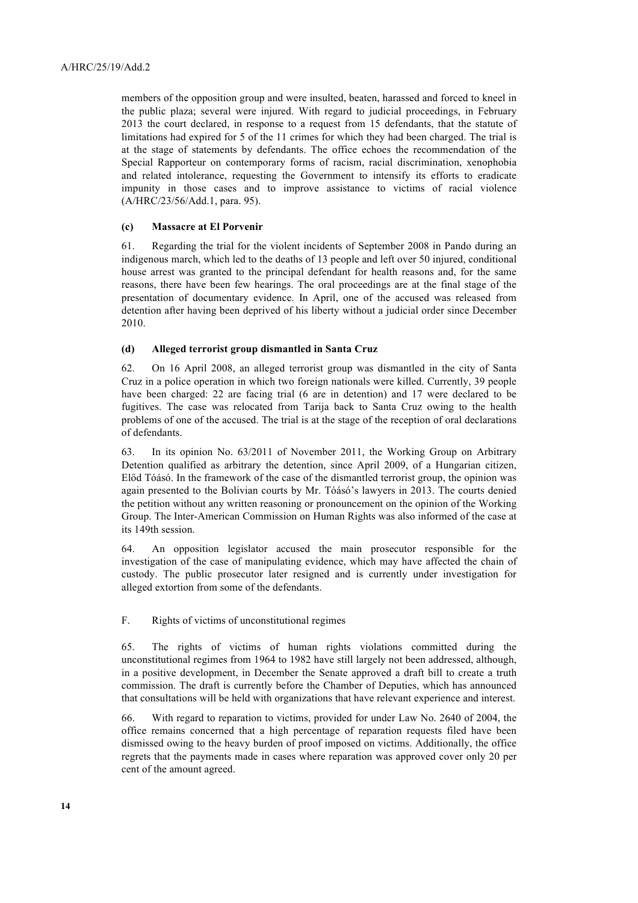members of the opposition group and were insulted, beaten, harassed and forced to kneel in the public plaza; several were injured. With regard to judicial proceedings, in February 2013 the court declared, in response to a request from 15 defendants, that the statute of limitations had expired for 5 of the 11 crimes for which they had been charged. The trial is at the stage of statements by defendants. The office echoes the recommendation of the Special Rapporteur on contemporary forms of racism, racial discrimination, xenophobia and related intolerance, requesting the Government to intensify its efforts to eradicate impunity in those cases and to improve assistance to victims of racial violence (A/HRC/23/56/Add.1, para. 95).

#### **(c) Massacre at El Porvenir**

61. Regarding the trial for the violent incidents of September 2008 in Pando during an indigenous march, which led to the deaths of 13 people and left over 50 injured, conditional house arrest was granted to the principal defendant for health reasons and, for the same reasons, there have been few hearings. The oral proceedings are at the final stage of the presentation of documentary evidence. In April, one of the accused was released from detention after having been deprived of his liberty without a judicial order since December 2010.

#### **(d) Alleged terrorist group dismantled in Santa Cruz**

62. On 16 April 2008, an alleged terrorist group was dismantled in the city of Santa Cruz in a police operation in which two foreign nationals were killed. Currently, 39 people have been charged: 22 are facing trial (6 are in detention) and 17 were declared to be fugitives. The case was relocated from Tarija back to Santa Cruz owing to the health problems of one of the accused. The trial is at the stage of the reception of oral declarations of defendants.

63. In its opinion No. 63/2011 of November 2011, the Working Group on Arbitrary Detention qualified as arbitrary the detention, since April 2009, of a Hungarian citizen, Előd Tóásó. In the framework of the case of the dismantled terrorist group, the opinion was again presented to the Bolivian courts by Mr. Tóásó's lawyers in 2013. The courts denied the petition without any written reasoning or pronouncement on the opinion of the Working Group. The Inter-American Commission on Human Rights was also informed of the case at its 149th session.

64. An opposition legislator accused the main prosecutor responsible for the investigation of the case of manipulating evidence, which may have affected the chain of custody. The public prosecutor later resigned and is currently under investigation for alleged extortion from some of the defendants.

F. Rights of victims of unconstitutional regimes

65. The rights of victims of human rights violations committed during the unconstitutional regimes from 1964 to 1982 have still largely not been addressed, although, in a positive development, in December the Senate approved a draft bill to create a truth commission. The draft is currently before the Chamber of Deputies, which has announced that consultations will be held with organizations that have relevant experience and interest.

66. With regard to reparation to victims, provided for under Law No. 2640 of 2004, the office remains concerned that a high percentage of reparation requests filed have been dismissed owing to the heavy burden of proof imposed on victims. Additionally, the office regrets that the payments made in cases where reparation was approved cover only 20 per cent of the amount agreed.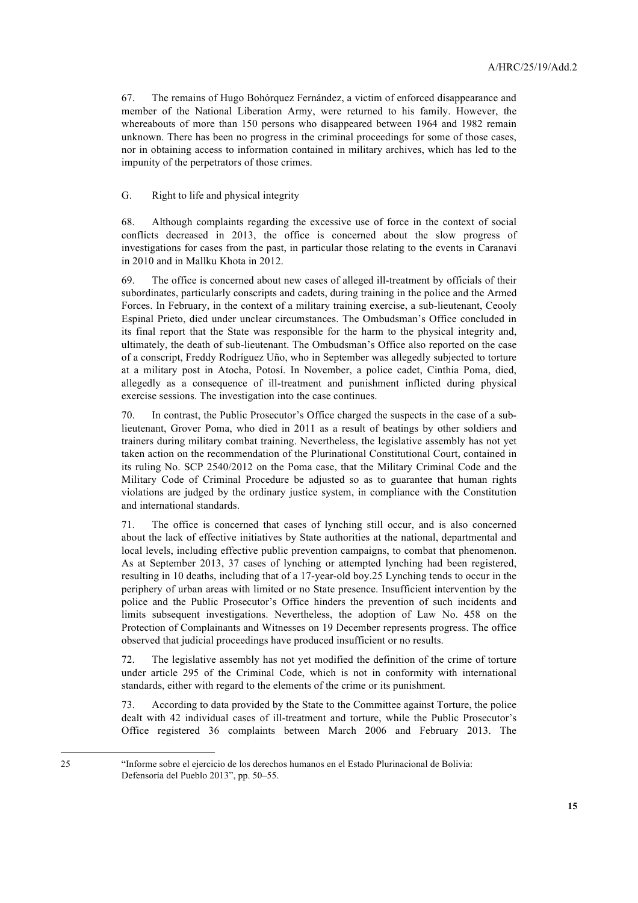67. The remains of Hugo Bohórquez Fernández, a victim of enforced disappearance and member of the National Liberation Army, were returned to his family. However, the whereabouts of more than 150 persons who disappeared between 1964 and 1982 remain unknown. There has been no progress in the criminal proceedings for some of those cases, nor in obtaining access to information contained in military archives, which has led to the impunity of the perpetrators of those crimes.

G. Right to life and physical integrity

68. Although complaints regarding the excessive use of force in the context of social conflicts decreased in 2013, the office is concerned about the slow progress of investigations for cases from the past, in particular those relating to the events in Caranavi in 2010 and in Mallku Khota in 2012.

69. The office is concerned about new cases of alleged ill-treatment by officials of their subordinates, particularly conscripts and cadets, during training in the police and the Armed Forces. In February, in the context of a military training exercise, a sub-lieutenant, Ceooly Espinal Prieto, died under unclear circumstances. The Ombudsman's Office concluded in its final report that the State was responsible for the harm to the physical integrity and, ultimately, the death of sub-lieutenant. The Ombudsman's Office also reported on the case of a conscript, Freddy Rodríguez Uño, who in September was allegedly subjected to torture at a military post in Atocha, Potosí. In November, a police cadet, Cinthia Poma, died, allegedly as a consequence of ill-treatment and punishment inflicted during physical exercise sessions. The investigation into the case continues.

70. In contrast, the Public Prosecutor's Office charged the suspects in the case of a sublieutenant, Grover Poma, who died in 2011 as a result of beatings by other soldiers and trainers during military combat training. Nevertheless, the legislative assembly has not yet taken action on the recommendation of the Plurinational Constitutional Court, contained in its ruling No. SCP 2540/2012 on the Poma case, that the Military Criminal Code and the Military Code of Criminal Procedure be adjusted so as to guarantee that human rights violations are judged by the ordinary justice system, in compliance with the Constitution and international standards.

71. The office is concerned that cases of lynching still occur, and is also concerned about the lack of effective initiatives by State authorities at the national, departmental and local levels, including effective public prevention campaigns, to combat that phenomenon. As at September 2013, 37 cases of lynching or attempted lynching had been registered, resulting in 10 deaths, including that of a 17-year-old boy.25 Lynching tends to occur in the periphery of urban areas with limited or no State presence. Insufficient intervention by the police and the Public Prosecutor's Office hinders the prevention of such incidents and limits subsequent investigations. Nevertheless, the adoption of Law No. 458 on the Protection of Complainants and Witnesses on 19 December represents progress. The office observed that judicial proceedings have produced insufficient or no results.

72. The legislative assembly has not yet modified the definition of the crime of torture under article 295 of the Criminal Code, which is not in conformity with international standards, either with regard to the elements of the crime or its punishment.

73. According to data provided by the State to the Committee against Torture, the police dealt with 42 individual cases of ill-treatment and torture, while the Public Prosecutor's Office registered 36 complaints between March 2006 and February 2013. The

<sup>25</sup> "Informe sobre el ejercicio de los derechos humanos en el Estado Plurinacional de Bolivia: Defensoría del Pueblo 2013", pp. 50–55.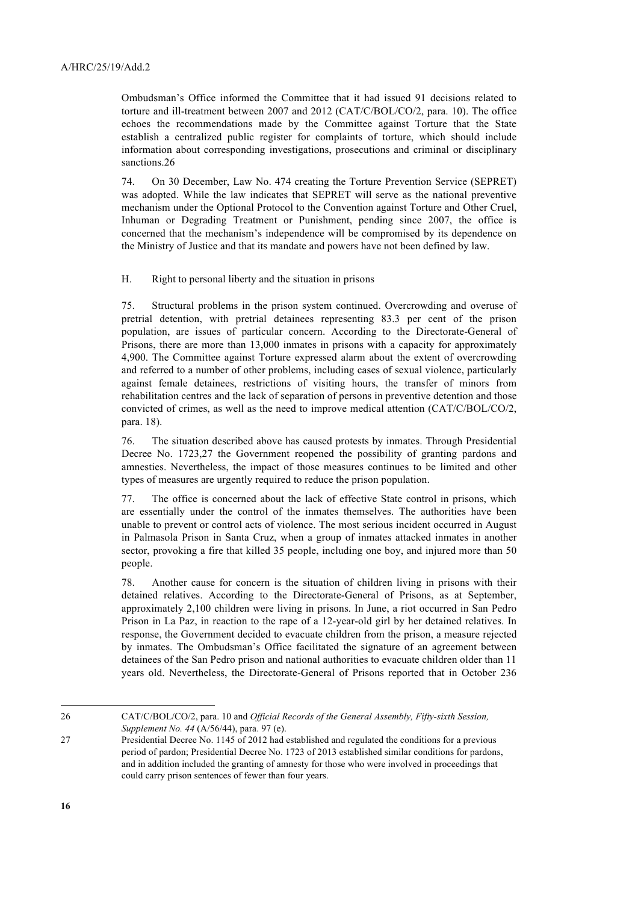Ombudsman's Office informed the Committee that it had issued 91 decisions related to torture and ill-treatment between 2007 and 2012 (CAT/C/BOL/CO/2, para. 10). The office echoes the recommendations made by the Committee against Torture that the State establish a centralized public register for complaints of torture, which should include information about corresponding investigations, prosecutions and criminal or disciplinary sanctions.26

74. On 30 December, Law No. 474 creating the Torture Prevention Service (SEPRET) was adopted. While the law indicates that SEPRET will serve as the national preventive mechanism under the Optional Protocol to the Convention against Torture and Other Cruel, Inhuman or Degrading Treatment or Punishment, pending since 2007, the office is concerned that the mechanism's independence will be compromised by its dependence on the Ministry of Justice and that its mandate and powers have not been defined by law.

H. Right to personal liberty and the situation in prisons

75. Structural problems in the prison system continued. Overcrowding and overuse of pretrial detention, with pretrial detainees representing 83.3 per cent of the prison population, are issues of particular concern. According to the Directorate-General of Prisons, there are more than 13,000 inmates in prisons with a capacity for approximately 4,900. The Committee against Torture expressed alarm about the extent of overcrowding and referred to a number of other problems, including cases of sexual violence, particularly against female detainees, restrictions of visiting hours, the transfer of minors from rehabilitation centres and the lack of separation of persons in preventive detention and those convicted of crimes, as well as the need to improve medical attention (CAT/C/BOL/CO/2, para. 18).

76. The situation described above has caused protests by inmates. Through Presidential Decree No. 1723,27 the Government reopened the possibility of granting pardons and amnesties. Nevertheless, the impact of those measures continues to be limited and other types of measures are urgently required to reduce the prison population.

77. The office is concerned about the lack of effective State control in prisons, which are essentially under the control of the inmates themselves. The authorities have been unable to prevent or control acts of violence. The most serious incident occurred in August in Palmasola Prison in Santa Cruz, when a group of inmates attacked inmates in another sector, provoking a fire that killed 35 people, including one boy, and injured more than 50 people.

78. Another cause for concern is the situation of children living in prisons with their detained relatives. According to the Directorate-General of Prisons, as at September, approximately 2,100 children were living in prisons. In June, a riot occurred in San Pedro Prison in La Paz, in reaction to the rape of a 12-year-old girl by her detained relatives. In response, the Government decided to evacuate children from the prison, a measure rejected by inmates. The Ombudsman's Office facilitated the signature of an agreement between detainees of the San Pedro prison and national authorities to evacuate children older than 11 years old. Nevertheless, the Directorate-General of Prisons reported that in October 236

<sup>26</sup> CAT/C/BOL/CO/2, para. 10 and *Official Records of the General Assembly, Fifty-sixth Session, Supplement No. 44* (A/56/44), para. 97 (e).

<sup>27</sup> Presidential Decree No. 1145 of 2012 had established and regulated the conditions for a previous period of pardon; Presidential Decree No. 1723 of 2013 established similar conditions for pardons, and in addition included the granting of amnesty for those who were involved in proceedings that could carry prison sentences of fewer than four years.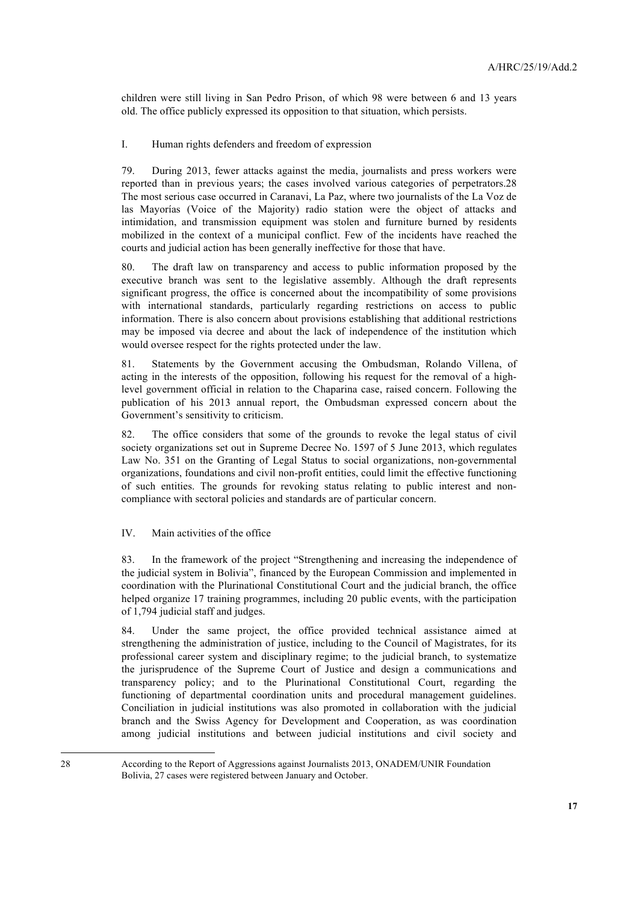children were still living in San Pedro Prison, of which 98 were between 6 and 13 years old. The office publicly expressed its opposition to that situation, which persists.

I. Human rights defenders and freedom of expression

79. During 2013, fewer attacks against the media, journalists and press workers were reported than in previous years; the cases involved various categories of perpetrators.28 The most serious case occurred in Caranavi, La Paz, where two journalists of the La Voz de las Mayorías (Voice of the Majority) radio station were the object of attacks and intimidation, and transmission equipment was stolen and furniture burned by residents mobilized in the context of a municipal conflict. Few of the incidents have reached the courts and judicial action has been generally ineffective for those that have.

80. The draft law on transparency and access to public information proposed by the executive branch was sent to the legislative assembly. Although the draft represents significant progress, the office is concerned about the incompatibility of some provisions with international standards, particularly regarding restrictions on access to public information. There is also concern about provisions establishing that additional restrictions may be imposed via decree and about the lack of independence of the institution which would oversee respect for the rights protected under the law.

81. Statements by the Government accusing the Ombudsman, Rolando Villena, of acting in the interests of the opposition, following his request for the removal of a highlevel government official in relation to the Chaparina case, raised concern. Following the publication of his 2013 annual report, the Ombudsman expressed concern about the Government's sensitivity to criticism.

82. The office considers that some of the grounds to revoke the legal status of civil society organizations set out in Supreme Decree No. 1597 of 5 June 2013, which regulates Law No. 351 on the Granting of Legal Status to social organizations, non-governmental organizations, foundations and civil non-profit entities, could limit the effective functioning of such entities. The grounds for revoking status relating to public interest and noncompliance with sectoral policies and standards are of particular concern.

IV. Main activities of the office

83. In the framework of the project "Strengthening and increasing the independence of the judicial system in Bolivia", financed by the European Commission and implemented in coordination with the Plurinational Constitutional Court and the judicial branch, the office helped organize 17 training programmes, including 20 public events, with the participation of 1,794 judicial staff and judges.

84. Under the same project, the office provided technical assistance aimed at strengthening the administration of justice, including to the Council of Magistrates, for its professional career system and disciplinary regime; to the judicial branch, to systematize the jurisprudence of the Supreme Court of Justice and design a communications and transparency policy; and to the Plurinational Constitutional Court, regarding the functioning of departmental coordination units and procedural management guidelines. Conciliation in judicial institutions was also promoted in collaboration with the judicial branch and the Swiss Agency for Development and Cooperation, as was coordination among judicial institutions and between judicial institutions and civil society and

28 According to the Report of Aggressions against Journalists 2013, ONADEM/UNIR Foundation Bolivia, 27 cases were registered between January and October.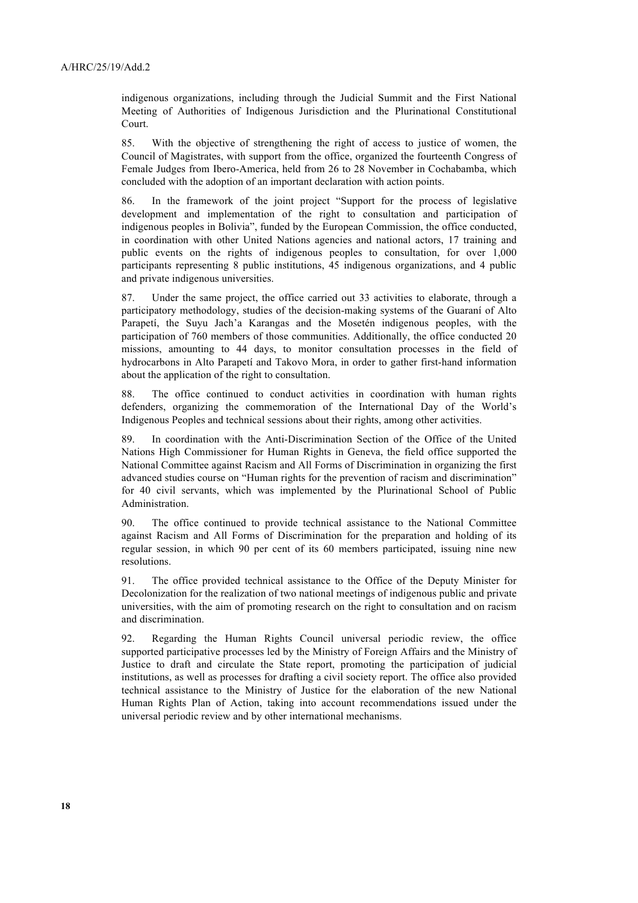indigenous organizations, including through the Judicial Summit and the First National Meeting of Authorities of Indigenous Jurisdiction and the Plurinational Constitutional Court.

85. With the objective of strengthening the right of access to justice of women, the Council of Magistrates, with support from the office, organized the fourteenth Congress of Female Judges from Ibero-America, held from 26 to 28 November in Cochabamba, which concluded with the adoption of an important declaration with action points.

86. In the framework of the joint project "Support for the process of legislative development and implementation of the right to consultation and participation of indigenous peoples in Bolivia", funded by the European Commission, the office conducted, in coordination with other United Nations agencies and national actors, 17 training and public events on the rights of indigenous peoples to consultation, for over 1,000 participants representing 8 public institutions, 45 indigenous organizations, and 4 public and private indigenous universities.

87. Under the same project, the office carried out 33 activities to elaborate, through a participatory methodology, studies of the decision-making systems of the Guaraní of Alto Parapetí, the Suyu Jach'a Karangas and the Mosetén indigenous peoples, with the participation of 760 members of those communities. Additionally, the office conducted 20 missions, amounting to 44 days, to monitor consultation processes in the field of hydrocarbons in Alto Parapetí and Takovo Mora, in order to gather first-hand information about the application of the right to consultation.

88. The office continued to conduct activities in coordination with human rights defenders, organizing the commemoration of the International Day of the World's Indigenous Peoples and technical sessions about their rights, among other activities.

89. In coordination with the Anti-Discrimination Section of the Office of the United Nations High Commissioner for Human Rights in Geneva, the field office supported the National Committee against Racism and All Forms of Discrimination in organizing the first advanced studies course on "Human rights for the prevention of racism and discrimination" for 40 civil servants, which was implemented by the Plurinational School of Public Administration.

90. The office continued to provide technical assistance to the National Committee against Racism and All Forms of Discrimination for the preparation and holding of its regular session, in which 90 per cent of its 60 members participated, issuing nine new resolutions.

91. The office provided technical assistance to the Office of the Deputy Minister for Decolonization for the realization of two national meetings of indigenous public and private universities, with the aim of promoting research on the right to consultation and on racism and discrimination.

92. Regarding the Human Rights Council universal periodic review, the office supported participative processes led by the Ministry of Foreign Affairs and the Ministry of Justice to draft and circulate the State report, promoting the participation of judicial institutions, as well as processes for drafting a civil society report. The office also provided technical assistance to the Ministry of Justice for the elaboration of the new National Human Rights Plan of Action, taking into account recommendations issued under the universal periodic review and by other international mechanisms.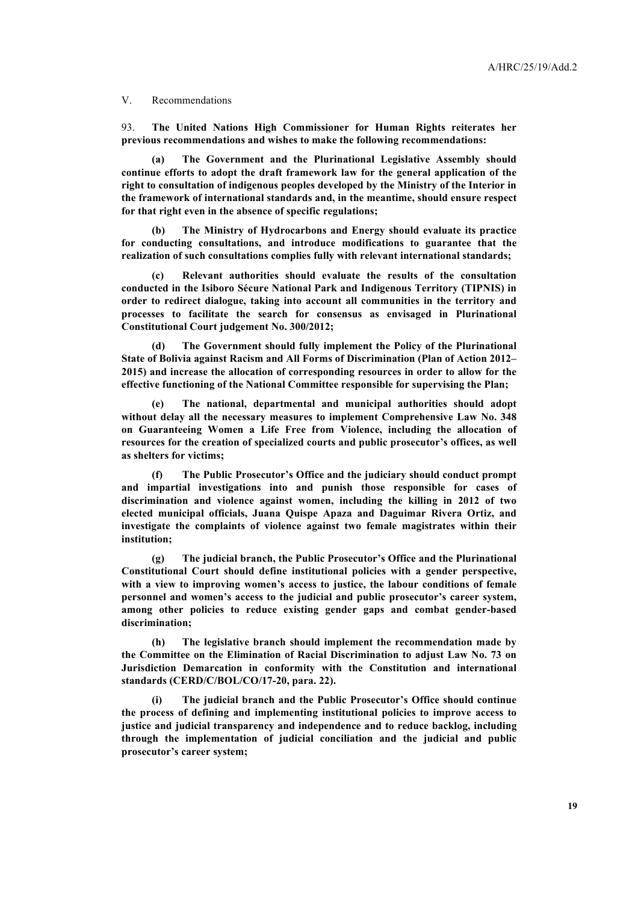V. Recommendations

93. **The United Nations High Commissioner for Human Rights reiterates her previous recommendations and wishes to make the following recommendations:** 

**(a) The Government and the Plurinational Legislative Assembly should continue efforts to adopt the draft framework law for the general application of the right to consultation of indigenous peoples developed by the Ministry of the Interior in the framework of international standards and, in the meantime, should ensure respect for that right even in the absence of specific regulations;**

**(b) The Ministry of Hydrocarbons and Energy should evaluate its practice for conducting consultations, and introduce modifications to guarantee that the realization of such consultations complies fully with relevant international standards;** 

**(c) Relevant authorities should evaluate the results of the consultation conducted in the Isiboro Sécure National Park and Indigenous Territory (TIPNIS) in order to redirect dialogue, taking into account all communities in the territory and processes to facilitate the search for consensus as envisaged in Plurinational Constitutional Court judgement No. 300/2012;**

**(d) The Government should fully implement the Policy of the Plurinational State of Bolivia against Racism and All Forms of Discrimination (Plan of Action 2012– 2015) and increase the allocation of corresponding resources in order to allow for the effective functioning of the National Committee responsible for supervising the Plan;**

**(e) The national, departmental and municipal authorities should adopt without delay all the necessary measures to implement Comprehensive Law No. 348 on Guaranteeing Women a Life Free from Violence, including the allocation of resources for the creation of specialized courts and public prosecutor's offices, as well as shelters for victims;**

**(f) The Public Prosecutor's Office and the judiciary should conduct prompt and impartial investigations into and punish those responsible for cases of discrimination and violence against women, including the killing in 2012 of two elected municipal officials, Juana Quispe Apaza and Daguimar Rivera Ortiz, and investigate the complaints of violence against two female magistrates within their institution;** 

**(g) The judicial branch, the Public Prosecutor's Office and the Plurinational Constitutional Court should define institutional policies with a gender perspective, with a view to improving women's access to justice, the labour conditions of female personnel and women's access to the judicial and public prosecutor's career system, among other policies to reduce existing gender gaps and combat gender-based discrimination;**

**(h) The legislative branch should implement the recommendation made by the Committee on the Elimination of Racial Discrimination to adjust Law No. 73 on Jurisdiction Demarcation in conformity with the Constitution and international standards (CERD/C/BOL/CO/17-20, para. 22).** 

**(i) The judicial branch and the Public Prosecutor's Office should continue the process of defining and implementing institutional policies to improve access to justice and judicial transparency and independence and to reduce backlog, including through the implementation of judicial conciliation and the judicial and public prosecutor's career system;**